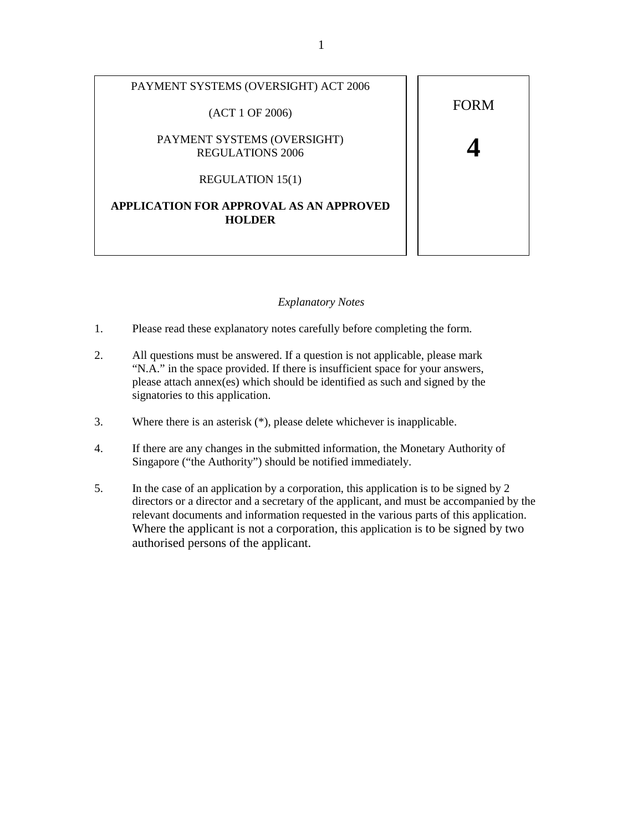

## *Explanatory Notes*

- 1. Please read these explanatory notes carefully before completing the form.
- 2. All questions must be answered. If a question is not applicable, please mark "N.A." in the space provided. If there is insufficient space for your answers, please attach annex(es) which should be identified as such and signed by the signatories to this application.
- 3. Where there is an asterisk (\*), please delete whichever is inapplicable.
- 4. If there are any changes in the submitted information, the Monetary Authority of Singapore ("the Authority") should be notified immediately.
- 5. In the case of an application by a corporation, this application is to be signed by 2 directors or a director and a secretary of the applicant, and must be accompanied by the relevant documents and information requested in the various parts of this application. Where the applicant is not a corporation, this application is to be signed by two authorised persons of the applicant.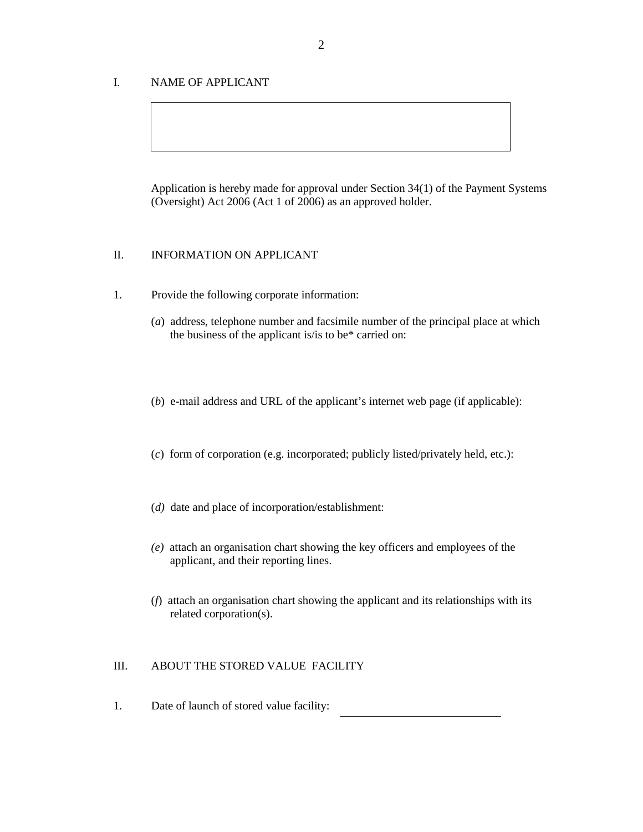# I. NAME OF APPLICANT

Application is hereby made for approval under Section 34(1) of the Payment Systems (Oversight) Act 2006 (Act 1 of 2006) as an approved holder.

# II. INFORMATION ON APPLICANT

- 1. Provide the following corporate information:
	- (*a*) address, telephone number and facsimile number of the principal place at which the business of the applicant is/is to be\* carried on:
	- (*b*) e-mail address and URL of the applicant's internet web page (if applicable):
	- (*c*) form of corporation (e.g. incorporated; publicly listed/privately held, etc.):
	- (*d)* date and place of incorporation/establishment:
	- *(e)* attach an organisation chart showing the key officers and employees of the applicant, and their reporting lines.
	- (*f*) attach an organisation chart showing the applicant and its relationships with its related corporation(s).

## III. ABOUT THE STORED VALUE FACILITY

1. Date of launch of stored value facility: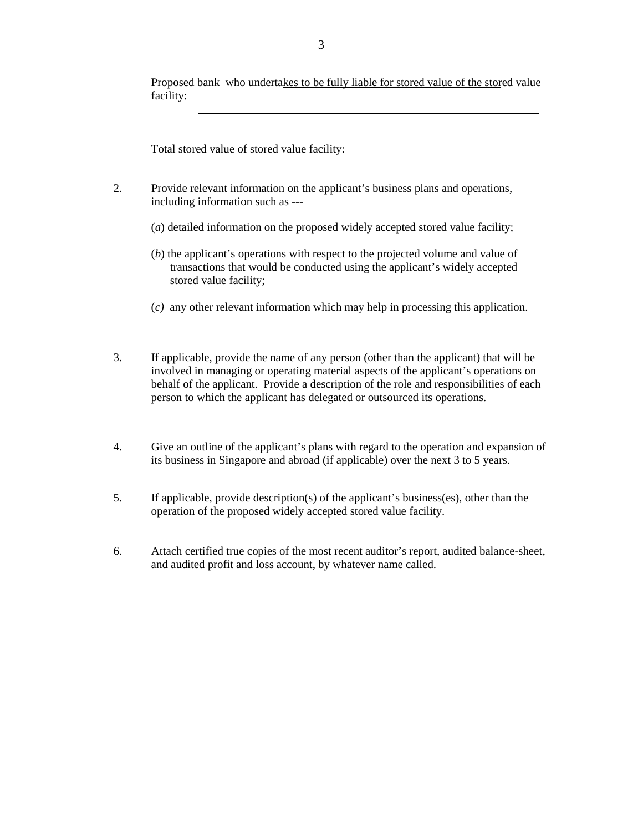Proposed bank who undertakes to be fully liable for stored value of the stored value facility:

Total stored value of stored value facility:

- 2. Provide relevant information on the applicant's business plans and operations, including information such as ---
	- (*a*) detailed information on the proposed widely accepted stored value facility;
	- (*b*) the applicant's operations with respect to the projected volume and value of transactions that would be conducted using the applicant's widely accepted stored value facility;
	- (*c)* any other relevant information which may help in processing this application.
- 3. If applicable, provide the name of any person (other than the applicant) that will be involved in managing or operating material aspects of the applicant's operations on behalf of the applicant. Provide a description of the role and responsibilities of each person to which the applicant has delegated or outsourced its operations.
- 4. Give an outline of the applicant's plans with regard to the operation and expansion of its business in Singapore and abroad (if applicable) over the next 3 to 5 years.
- 5. If applicable, provide description(s) of the applicant's business(es), other than the operation of the proposed widely accepted stored value facility.
- 6. Attach certified true copies of the most recent auditor's report, audited balance-sheet, and audited profit and loss account, by whatever name called.